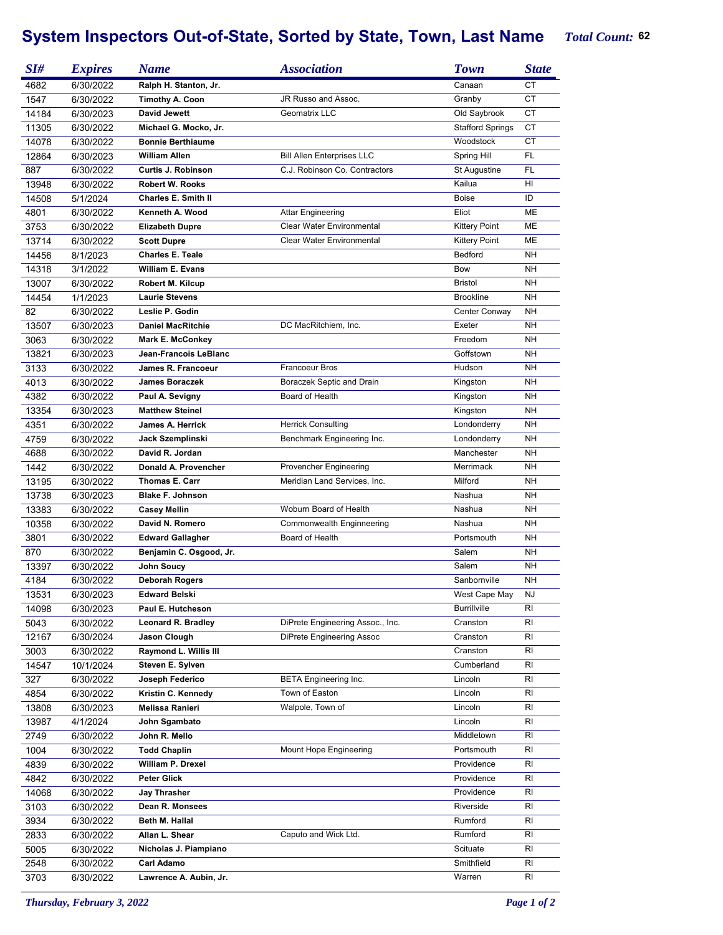## System Inspectors Out-of-State, Sorted by State, Town, Last Name T

|  | <b>Total Count: 62</b> |  |
|--|------------------------|--|
|--|------------------------|--|

| SI#           | <b>Expires</b>         | <b>Name</b>                              | <i><b>Association</b></i>         | <b>Town</b>             | <b>State</b> |
|---------------|------------------------|------------------------------------------|-----------------------------------|-------------------------|--------------|
| 4682          | 6/30/2022              | Ralph H. Stanton, Jr.                    |                                   | Canaan                  | <b>CT</b>    |
| 1547          | 6/30/2022              | <b>Timothy A. Coon</b>                   | JR Russo and Assoc.               | Granby                  | СT           |
| 14184         | 6/30/2023              | <b>David Jewett</b>                      | Geomatrix LLC                     | Old Saybrook            | СT           |
| 11305         | 6/30/2022              | Michael G. Mocko, Jr.                    |                                   | <b>Stafford Springs</b> | <b>CT</b>    |
| 14078         | 6/30/2022              | <b>Bonnie Berthiaume</b>                 |                                   | Woodstock               | <b>CT</b>    |
| 12864         | 6/30/2023              | <b>William Allen</b>                     | <b>Bill Allen Enterprises LLC</b> | Spring Hill             | FL           |
| 887           | 6/30/2022              | Curtis J. Robinson                       | C.J. Robinson Co. Contractors     | St Augustine            | FL           |
| 13948         | 6/30/2022              | <b>Robert W. Rooks</b>                   |                                   | Kailua                  | HI           |
| 14508         | 5/1/2024               | <b>Charles E. Smith II</b>               |                                   | <b>Boise</b>            | ID           |
| 4801          | 6/30/2022              | Kenneth A. Wood                          | <b>Attar Engineering</b>          | Eliot                   | ME           |
| 3753          | 6/30/2022              | <b>Elizabeth Dupre</b>                   | <b>Clear Water Environmental</b>  | <b>Kittery Point</b>    | ME           |
| 13714         | 6/30/2022              | <b>Scott Dupre</b>                       | <b>Clear Water Environmental</b>  | <b>Kittery Point</b>    | ME           |
| 14456         | 8/1/2023               | <b>Charles E. Teale</b>                  |                                   | Bedford                 | NH           |
| 14318         | 3/1/2022               | <b>William E. Evans</b>                  |                                   | Bow                     | <b>NH</b>    |
| 13007         | 6/30/2022              | Robert M. Kilcup                         |                                   | <b>Bristol</b>          | NΗ           |
| 14454         | 1/1/2023               | <b>Laurie Stevens</b>                    |                                   | <b>Brookline</b>        | NΗ           |
| 82            | 6/30/2022              | Leslie P. Godin                          |                                   | Center Conway           | NΗ           |
| 13507         | 6/30/2023              | <b>Daniel MacRitchie</b>                 | DC MacRitchiem, Inc.              | Exeter                  | NΗ           |
| 3063          | 6/30/2022              | <b>Mark E. McConkey</b>                  |                                   | Freedom                 | NΗ           |
| 13821         | 6/30/2023              | Jean-Francois LeBlanc                    |                                   | Goffstown               | NΗ           |
| 3133          | 6/30/2022              | James R. Francoeur                       | <b>Francoeur Bros</b>             | Hudson                  | NΗ           |
| 4013          | 6/30/2022              | <b>James Boraczek</b>                    | Boraczek Septic and Drain         | Kingston                | NΗ           |
| 4382          | 6/30/2022              | Paul A. Sevigny                          | Board of Health                   | Kingston                | NΗ           |
| 13354         | 6/30/2023              | <b>Matthew Steinel</b>                   |                                   | Kingston                | <b>NH</b>    |
| 4351          | 6/30/2022              | James A. Herrick                         | <b>Herrick Consulting</b>         | Londonderry             | <b>NH</b>    |
| 4759          | 6/30/2022              | Jack Szemplinski                         | Benchmark Engineering Inc.        | Londonderry             | NΗ           |
| 4688          | 6/30/2022              | David R. Jordan                          |                                   | Manchester              | NΗ           |
| 1442          | 6/30/2022              | Donald A. Provencher                     | Provencher Engineering            | Merrimack               | NΗ           |
| 13195         | 6/30/2022              | <b>Thomas E. Carr</b>                    | Meridian Land Services, Inc.      | Milford                 | NH           |
| 13738         | 6/30/2023              | <b>Blake F. Johnson</b>                  |                                   | Nashua                  | NH           |
| 13383         | 6/30/2022              | <b>Casey Mellin</b>                      | Woburn Board of Health            | Nashua                  | NΗ           |
| 10358         | 6/30/2022              | David N. Romero                          | Commonwealth Enginneering         | Nashua                  | NΗ           |
| 3801          | 6/30/2022              | <b>Edward Gallagher</b>                  | Board of Health                   | Portsmouth              | NΗ           |
| 870           | 6/30/2022              | Benjamin C. Osgood, Jr.                  |                                   | Salem                   | NH           |
| 13397         | 6/30/2022              | <b>John Soucy</b>                        |                                   | Salem                   | <b>NH</b>    |
| 4184          | 6/30/2022              | <b>Deborah Rogers</b>                    |                                   | Sanbornville            | NH           |
| 13531         | 6/30/2023              | <b>Edward Belski</b>                     |                                   | West Cape May           | ΝJ           |
| 14098         | 6/30/2023              | Paul E. Hutcheson                        |                                   | <b>Burrillville</b>     | RI           |
| 5043          | 6/30/2022              | Leonard R. Bradley                       | DiPrete Engineering Assoc., Inc.  | Cranston                | RI           |
| 12167         | 6/30/2024              | Jason Clough                             | DiPrete Engineering Assoc         | Cranston                | RI           |
|               |                        | Raymond L. Willis III                    |                                   | Cranston                | RI           |
| 3003<br>14547 | 6/30/2022<br>10/1/2024 | Steven E. Sylven                         |                                   | Cumberland              | RI           |
| 327           | 6/30/2022              | Joseph Federico                          | <b>BETA Engineering Inc.</b>      | Lincoln                 | RI           |
| 4854          | 6/30/2022              | Kristin C. Kennedy                       | Town of Easton                    | Lincoln                 | RI           |
| 13808         | 6/30/2023              | Melissa Ranieri                          | Walpole, Town of                  | Lincoln                 | RI           |
|               |                        |                                          |                                   | Lincoln                 | RI           |
| 13987<br>2749 | 4/1/2024<br>6/30/2022  | John Sgambato<br>John R. Mello           |                                   | Middletown              | RI           |
|               |                        |                                          |                                   | Portsmouth              |              |
| 1004          | 6/30/2022              | <b>Todd Chaplin</b><br>William P. Drexel | Mount Hope Engineering            | Providence              | RI<br>RI     |
| 4839          | 6/30/2022              | <b>Peter Glick</b>                       |                                   | Providence              | RI           |
| 4842          | 6/30/2022              |                                          |                                   | Providence              |              |
| 14068         | 6/30/2022              | Jay Thrasher                             |                                   |                         | RI           |
| 3103          | 6/30/2022              | Dean R. Monsees                          |                                   | Riverside               | RI           |
| 3934          | 6/30/2022              | Beth M. Hallal                           |                                   | Rumford                 | RI           |
| 2833          | 6/30/2022              | Allan L. Shear                           | Caputo and Wick Ltd.              | Rumford                 | RI           |
| 5005          | 6/30/2022              | Nicholas J. Piampiano                    |                                   | Scituate                | RI           |
| 2548          | 6/30/2022              | Carl Adamo                               |                                   | Smithfield              | RI           |
| 3703          | 6/30/2022              | Lawrence A. Aubin, Jr.                   |                                   | Warren                  | RI           |

*Thursday, February 3, 2022 Page 1 of 2*